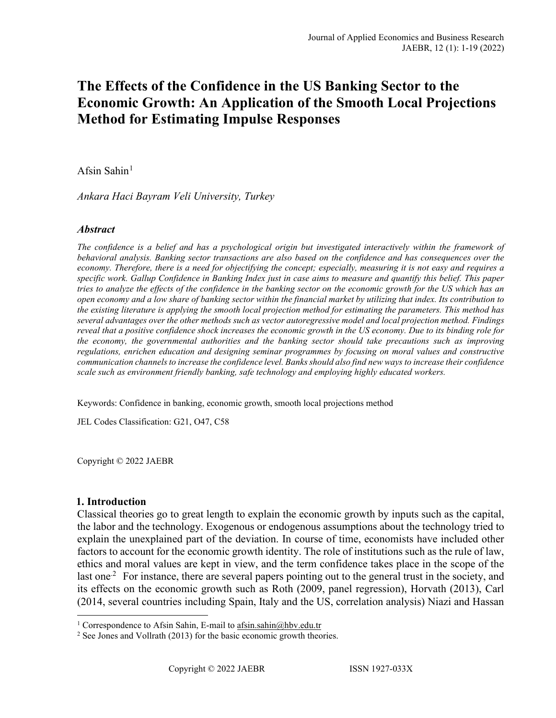# **The Effects of the Confidence in the US Banking Sector to the Economic Growth: An Application of the Smooth Local Projections Method for Estimating Impulse Responses**

## Afsin Sahin $<sup>1</sup>$  $<sup>1</sup>$  $<sup>1</sup>$ </sup>

*Ankara Haci Bayram Veli University, Turkey*

### *Abstract*

*The confidence is a belief and has a psychological origin but investigated interactively within the framework of behavioral analysis. Banking sector transactions are also based on the confidence and has consequences over the economy. Therefore, there is a need for objectifying the concept; especially, measuring it is not easy and requires a specific work. Gallup Confidence in Banking Index just in case aims to measure and quantify this belief. This paper tries to analyze the effects of the confidence in the banking sector on the economic growth for the US which has an open economy and a low share of banking sector within the financial market by utilizing that index. Its contribution to the existing literature is applying the smooth local projection method for estimating the parameters. This method has several advantages over the other methods such as vector autoregressive model and local projection method. Findings reveal that a positive confidence shock increases the economic growth in the US economy. Due to its binding role for the economy, the governmental authorities and the banking sector should take precautions such as improving regulations, enrichen education and designing seminar programmes by focusing on moral values and constructive communication channels to increase the confidence level. Banks should also find new ways to increase their confidence scale such as environment friendly banking, safe technology and employing highly educated workers.* 

Keywords: Confidence in banking, economic growth, smooth local projections method

JEL Codes Classification: G21, O47, C58

Copyright © 2022 JAEBR

### **1. Introduction**

Classical theories go to great length to explain the economic growth by inputs such as the capital, the labor and the technology. Exogenous or endogenous assumptions about the technology tried to explain the unexplained part of the deviation. In course of time, economists have included other factors to account for the economic growth identity. The role of institutions such as the rule of law, ethics and moral values are kept in view, and the term confidence takes place in the scope of the last one<sup>2</sup> For instance, there are several papers pointing out to the general trust in the society, and its effects on the economic growth such as Roth (2009, panel regression), Horvath (2013), Carl (2014, several countries including Spain, Italy and the US, correlation analysis) Niazi and Hassan

<span id="page-0-1"></span><span id="page-0-0"></span><sup>&</sup>lt;sup>1</sup> Correspondence to Afsin Sahin, E-mail to  $\frac{afsin.sahin@hbv.edu.tr}{2}$  See Jones and Vollrath (2013) for the basic economic growth theories.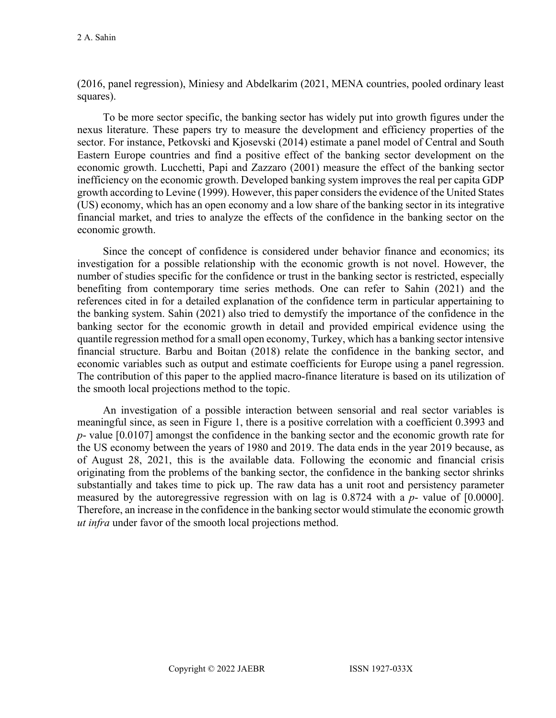(2016, panel regression), Miniesy and Abdelkarim (2021, MENA countries, pooled ordinary least squares).

To be more sector specific, the banking sector has widely put into growth figures under the nexus literature. These papers try to measure the development and efficiency properties of the sector. For instance, Petkovski and Kjosevski (2014) estimate a panel model of Central and South Eastern Europe countries and find a positive effect of the banking sector development on the economic growth. Lucchetti, Papi and Zazzaro (2001) measure the effect of the banking sector inefficiency on the economic growth. Developed banking system improves the real per capita GDP growth according to Levine (1999). However, this paper considers the evidence of the United States (US) economy, which has an open economy and a low share of the banking sector in its integrative financial market, and tries to analyze the effects of the confidence in the banking sector on the economic growth.

Since the concept of confidence is considered under behavior finance and economics; its investigation for a possible relationship with the economic growth is not novel. However, the number of studies specific for the confidence or trust in the banking sector is restricted, especially benefiting from contemporary time series methods. One can refer to Sahin (2021) and the references cited in for a detailed explanation of the confidence term in particular appertaining to the banking system. Sahin (2021) also tried to demystify the importance of the confidence in the banking sector for the economic growth in detail and provided empirical evidence using the quantile regression method for a small open economy, Turkey, which has a banking sector intensive financial structure. Barbu and Boitan (2018) relate the confidence in the banking sector, and economic variables such as output and estimate coefficients for Europe using a panel regression. The contribution of this paper to the applied macro-finance literature is based on its utilization of the smooth local projections method to the topic.

An investigation of a possible interaction between sensorial and real sector variables is meaningful since, as seen in Figure 1, there is a positive correlation with a coefficient 0.3993 and *p*- value [0.0107] amongst the confidence in the banking sector and the economic growth rate for the US economy between the years of 1980 and 2019. The data ends in the year 2019 because, as of August 28, 2021, this is the available data. Following the economic and financial crisis originating from the problems of the banking sector, the confidence in the banking sector shrinks substantially and takes time to pick up. The raw data has a unit root and persistency parameter measured by the autoregressive regression with on lag is 0.8724 with a *p*- value of [0.0000]. Therefore, an increase in the confidence in the banking sector would stimulate the economic growth *ut infra* under favor of the smooth local projections method.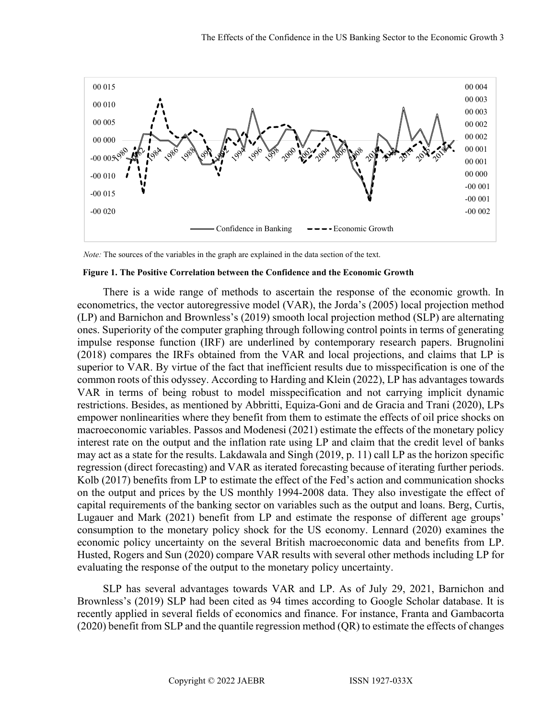

 *Note:* The sources of the variables in the graph are explained in the data section of the text.

#### **Figure 1. The Positive Correlation between the Confidence and the Economic Growth**

There is a wide range of methods to ascertain the response of the economic growth. In econometrics, the vector autoregressive model (VAR), the Jorda's (2005) local projection method (LP) and Barnichon and Brownless's (2019) smooth local projection method (SLP) are alternating ones. Superiority of the computer graphing through following control points in terms of generating impulse response function (IRF) are underlined by contemporary research papers. Brugnolini (2018) compares the IRFs obtained from the VAR and local projections, and claims that LP is superior to VAR. By virtue of the fact that inefficient results due to misspecification is one of the common roots of this odyssey. According to Harding and Klein (2022), LP has advantages towards VAR in terms of being robust to model misspecification and not carrying implicit dynamic restrictions. Besides, as mentioned by Abbritti, Equiza-Goni and de Gracia and Trani (2020), LPs empower nonlinearities where they benefit from them to estimate the effects of oil price shocks on macroeconomic variables. Passos and Modenesi (2021) estimate the effects of the monetary policy interest rate on the output and the inflation rate using LP and claim that the credit level of banks may act as a state for the results. Lakdawala and Singh (2019, p. 11) call LP as the horizon specific regression (direct forecasting) and VAR as iterated forecasting because of iterating further periods. Kolb (2017) benefits from LP to estimate the effect of the Fed's action and communication shocks on the output and prices by the US monthly 1994-2008 data. They also investigate the effect of capital requirements of the banking sector on variables such as the output and loans. Berg, Curtis, Lugauer and Mark (2021) benefit from LP and estimate the response of different age groups' consumption to the monetary policy shock for the US economy. Lennard (2020) examines the economic policy uncertainty on the several British macroeconomic data and benefits from LP. Husted, Rogers and Sun (2020) compare VAR results with several other methods including LP for evaluating the response of the output to the monetary policy uncertainty.

SLP has several advantages towards VAR and LP. As of July 29, 2021, Barnichon and Brownless's (2019) SLP had been cited as 94 times according to Google Scholar database. It is recently applied in several fields of economics and finance. For instance, Franta and Gambacorta (2020) benefit from SLP and the quantile regression method (QR) to estimate the effects of changes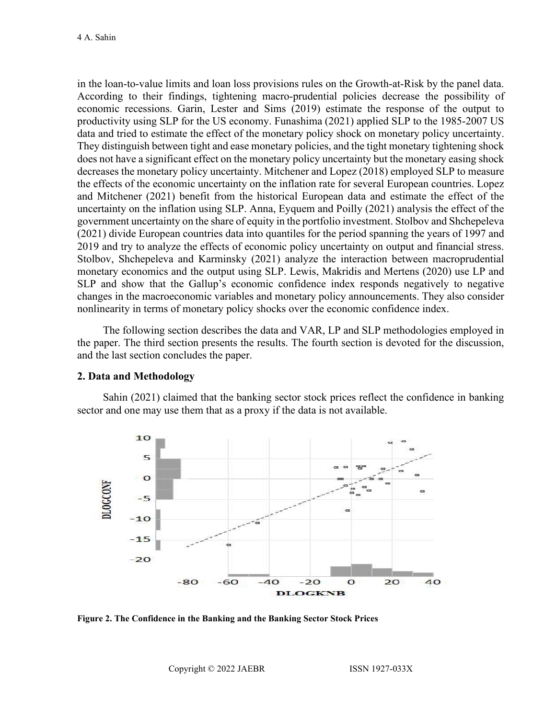in the loan-to-value limits and loan loss provisions rules on the Growth-at-Risk by the panel data. According to their findings, tightening macro-prudential policies decrease the possibility of economic recessions. Garin, Lester and Sims (2019) estimate the response of the output to productivity using SLP for the US economy. Funashima (2021) applied SLP to the 1985-2007 US data and tried to estimate the effect of the monetary policy shock on monetary policy uncertainty. They distinguish between tight and ease monetary policies, and the tight monetary tightening shock does not have a significant effect on the monetary policy uncertainty but the monetary easing shock decreases the monetary policy uncertainty. Mitchener and Lopez (2018) employed SLP to measure the effects of the economic uncertainty on the inflation rate for several European countries. Lopez and Mitchener (2021) benefit from the historical European data and estimate the effect of the uncertainty on the inflation using SLP. Anna, Eyquem and Poilly (2021) analysis the effect of the government uncertainty on the share of equity in the portfolio investment. Stolbov and Shchepeleva (2021) divide European countries data into quantiles for the period spanning the years of 1997 and 2019 and try to analyze the effects of economic policy uncertainty on output and financial stress. Stolbov, Shchepeleva and Karminsky (2021) analyze the interaction between macroprudential monetary economics and the output using SLP. Lewis, Makridis and Mertens (2020) use LP and SLP and show that the Gallup's economic confidence index responds negatively to negative changes in the macroeconomic variables and monetary policy announcements. They also consider nonlinearity in terms of monetary policy shocks over the economic confidence index.

The following section describes the data and VAR, LP and SLP methodologies employed in the paper. The third section presents the results. The fourth section is devoted for the discussion, and the last section concludes the paper.

### **2. Data and Methodology**

Sahin (2021) claimed that the banking sector stock prices reflect the confidence in banking sector and one may use them that as a proxy if the data is not available.



**Figure 2. The Confidence in the Banking and the Banking Sector Stock Prices**

Copyright © 2022 JAEBR ISSN 1927-033X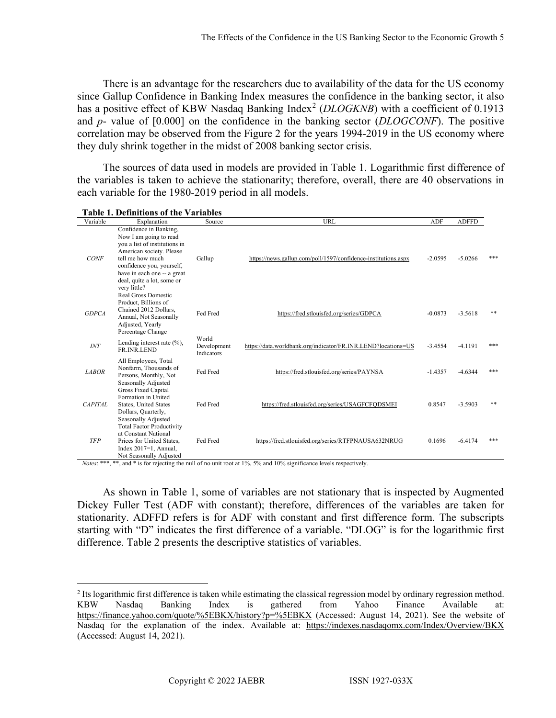There is an advantage for the researchers due to availability of the data for the US economy since Gallup Confidence in Banking Index measures the confidence in the banking sector, it also has a positive effect of KBW Nasdaq Banking Index<sup>[2](#page-4-0)</sup> (*DLOGKNB*) with a coefficient of 0.1913 and *p*- value of [0.000] on the confidence in the banking sector (*DLOGCONF*). The positive correlation may be observed from the Figure 2 for the years 1994-2019 in the US economy where they duly shrink together in the midst of 2008 banking sector crisis.

The sources of data used in models are provided in Table 1. Logarithmic first difference of the variables is taken to achieve the stationarity; therefore, overall, there are 40 observations in each variable for the 1980-2019 period in all models.

| Variable     | Explanation                                                                                                                                                                                                                                 | Source                             | URL                                                            | <b>ADF</b> | <b>ADFFD</b> |     |
|--------------|---------------------------------------------------------------------------------------------------------------------------------------------------------------------------------------------------------------------------------------------|------------------------------------|----------------------------------------------------------------|------------|--------------|-----|
| <b>CONF</b>  | Confidence in Banking,<br>Now I am going to read<br>you a list of institutions in<br>American society. Please<br>tell me how much<br>confidence you, yourself,<br>have in each one -- a great<br>deal, quite a lot, some or<br>very little? | Gallup                             | https://news.gallup.com/poll/1597/confidence-institutions.aspx | $-2.0595$  | $-5.0266$    | *** |
| <b>GDPCA</b> | Real Gross Domestic<br>Product, Billions of<br>Chained 2012 Dollars,<br>Annual, Not Seasonally<br>Adjusted, Yearly<br>Percentage Change                                                                                                     | Fed Fred                           | https://fred.stlouisfed.org/series/GDPCA                       | $-0.0873$  | $-3.5618$    | **  |
| INT          | Lending interest rate $(\%),$<br>FR.INR.LEND                                                                                                                                                                                                | World<br>Development<br>Indicators | https://data.worldbank.org/indicator/FR.INR.LEND?locations=US  | $-3.4554$  | $-4.1191$    | *** |
| <b>LABOR</b> | All Employees, Total<br>Nonfarm, Thousands of<br>Persons, Monthly, Not<br>Seasonally Adjusted                                                                                                                                               | Fed Fred                           | https://fred.stlouisfed.org/series/PAYNSA                      | $-1.4357$  | $-4.6344$    | *** |
| CAPITAL      | <b>Gross Fixed Capital</b><br>Formation in United<br><b>States, United States</b><br>Dollars, Quarterly,<br>Seasonally Adjusted                                                                                                             | Fed Fred                           | https://fred.stlouisfed.org/series/USAGFCFQDSMEI               | 0.8547     | $-3.5903$    | **  |
| <b>TFP</b>   | <b>Total Factor Productivity</b><br>at Constant National<br>Prices for United States,<br>Index $2017=1$ , Annual,<br>Not Seasonally Adjusted                                                                                                | Fed Fred                           | https://fred.stlouisfed.org/series/RTFPNAUSA632NRUG            | 0.1696     | $-6.4174$    | *** |

**Table 1. Definitions of the Variables**

*Notes*: \*\*\*, \*\*, and \* is for rejecting the null of no unit root at 1%, 5% and 10% significance levels respectively.

As shown in Table 1, some of variables are not stationary that is inspected by Augmented Dickey Fuller Test (ADF with constant); therefore, differences of the variables are taken for stationarity. ADFFD refers is for ADF with constant and first difference form. The subscripts starting with "D" indicates the first difference of a variable. "DLOG" is for the logarithmic first difference. Table 2 presents the descriptive statistics of variables.

<span id="page-4-0"></span><sup>2</sup> Its logarithmic first difference is taken while estimating the classical regression model by ordinary regression method. KBW Nasdaq Banking Index is gathered from Yahoo Finance Available at: <https://finance.yahoo.com/quote/%5EBKX/history?p=%5EBKX> (Accessed: August 14, 2021). See the website of Nasdaq for the explanation of the index. Available at: <https://indexes.nasdaqomx.com/Index/Overview/BKX> (Accessed: August 14, 2021).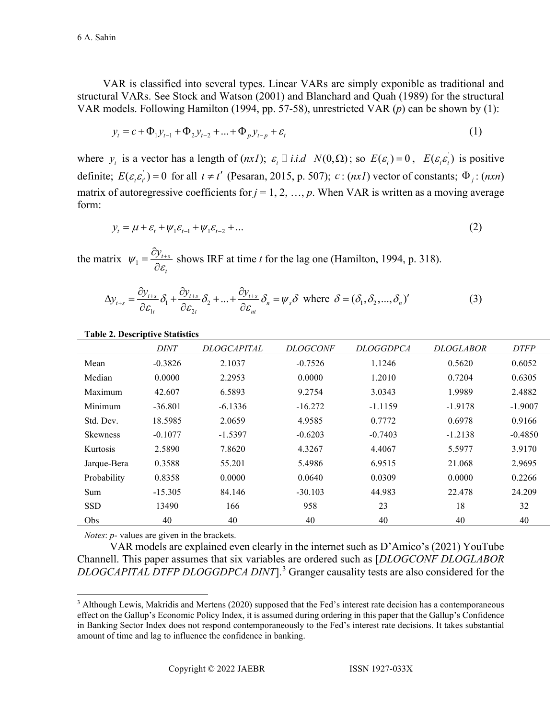VAR is classified into several types. Linear VARs are simply exponible as traditional and structural VARs. See Stock and Watson (2001) and Blanchard and Quah (1989) for the structural VAR models. Following Hamilton (1994, pp. 57-58), unrestricted VAR (*p*) can be shown by (1):

$$
y_{t} = c + \Phi_{1} y_{t-1} + \Phi_{2} y_{t-2} + \dots + \Phi_{p} y_{t-p} + \varepsilon_{t}
$$
\n(1)

where  $y_t$  is a vector has a length of  $(nx)$ ;  $\varepsilon_t \square$  *i.i.d*  $N(0,\Omega)$ ; so  $E(\varepsilon_t) = 0$ ,  $E(\varepsilon_t \varepsilon_t)$  is positive definite;  $E(\varepsilon_{t} \varepsilon_{t}^{j}) = 0$  for all  $t \neq t'$  (Pesaran, 2015, p. 507);  $c : (nxI)$  vector of constants;  $\Phi_{j} : (nxn)$ matrix of autoregressive coefficients for  $j = 1, 2, ..., p$ . When VAR is written as a moving average form:

$$
y_{t} = \mu + \varepsilon_{t} + \psi_{1} \varepsilon_{t-1} + \psi_{1} \varepsilon_{t-2} + \dots
$$
 (2)

the matrix  $\psi_1 = \frac{\omega_{y_{t+s}}}{\omega_{s}}$ *t*  $\psi_1 = \frac{\partial y_{t+1}}{\partial \varepsilon_t}$ shows IRF at time *t* for the lag one (Hamilton, 1994, p. 318).

$$
\Delta y_{t+s} = \frac{\partial y_{t+s}}{\partial \varepsilon_{1t}} \delta_1 + \frac{\partial y_{t+s}}{\partial \varepsilon_{2t}} \delta_2 + \dots + \frac{\partial y_{t+s}}{\partial \varepsilon_{mt}} \delta_n = \psi_s \delta \text{ where } \delta = (\delta_1, \delta_2, \dots, \delta_n)'
$$
(3)

|                 | <i>DINT</i> | <i>DLOGCAPITAL</i> | <b>DLOGCONF</b> | <i>DLOGGDPCA</i> | <b>DLOGLABOR</b> | <b>DTFP</b> |
|-----------------|-------------|--------------------|-----------------|------------------|------------------|-------------|
| Mean            | $-0.3826$   | 2.1037             | $-0.7526$       | 1.1246           | 0.5620           | 0.6052      |
| Median          | 0.0000      | 2.2953             | 0.0000          | 1.2010           | 0.7204           | 0.6305      |
| Maximum         | 42.607      | 6.5893             | 9.2754          | 3.0343           | 1.9989           | 2.4882      |
| Minimum         | $-36.801$   | $-6.1336$          | $-16.272$       | $-1.1159$        | $-1.9178$        | $-1.9007$   |
| Std. Dev.       | 18.5985     | 2.0659             | 4.9585          | 0.7772           | 0.6978           | 0.9166      |
| <b>Skewness</b> | $-0.1077$   | $-1.5397$          | $-0.6203$       | $-0.7403$        | $-1.2138$        | $-0.4850$   |
| <b>Kurtosis</b> | 2.5890      | 7.8620             | 4.3267          | 4.4067           | 5.5977           | 3.9170      |
| Jarque-Bera     | 0.3588      | 55.201             | 5.4986          | 6.9515           | 21.068           | 2.9695      |
| Probability     | 0.8358      | 0.0000             | 0.0640          | 0.0309           | 0.0000           | 0.2266      |
| Sum             | $-15.305$   | 84.146             | $-30.103$       | 44.983           | 22.478           | 24.209      |
| <b>SSD</b>      | 13490       | 166                | 958             | 23               | 18               | 32          |
| Obs.            | 40          | 40                 | 40              | 40               | 40               | 40          |

#### **Table 2. Descriptive Statistics**

*Notes*: *p*- values are given in the brackets.

VAR models are explained even clearly in the internet such as D'Amico's (2021) YouTube Channell. This paper assumes that six variables are ordered such as [*DLOGCONF DLOGLABOR DLOGCAPITAL DTFP DLOGGDPCA DINT*].[3](#page-5-0) Granger causality tests are also considered for the

<span id="page-5-0"></span><sup>&</sup>lt;sup>3</sup> Although Lewis, Makridis and Mertens (2020) supposed that the Fed's interest rate decision has a contemporaneous effect on the Gallup's Economic Policy Index, it is assumed during ordering in this paper that the Gallup's Confidence in Banking Sector Index does not respond contemporaneously to the Fed's interest rate decisions. It takes substantial amount of time and lag to influence the confidence in banking.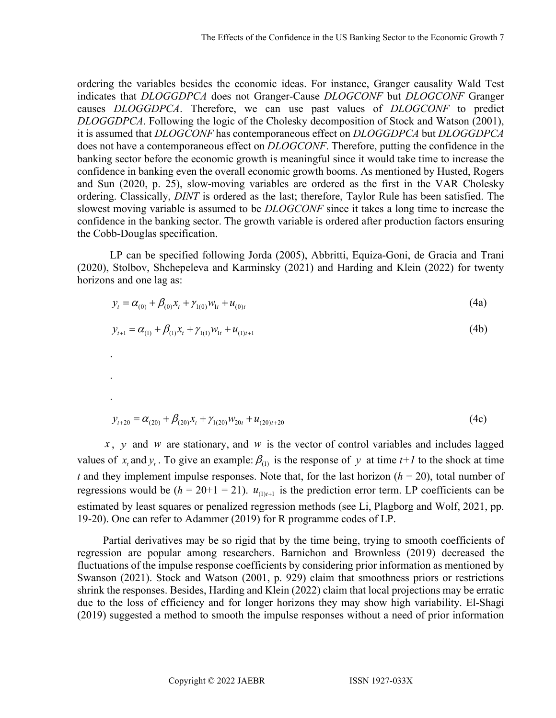ordering the variables besides the economic ideas. For instance, Granger causality Wald Test indicates that *DLOGGDPCA* does not Granger-Cause *DLOGCONF* but *DLOGCONF* Granger causes *DLOGGDPCA*. Therefore, we can use past values of *DLOGCONF* to predict *DLOGGDPCA*. Following the logic of the Cholesky decomposition of Stock and Watson (2001), it is assumed that *DLOGCONF* has contemporaneous effect on *DLOGGDPCA* but *DLOGGDPCA*  does not have a contemporaneous effect on *DLOGCONF*. Therefore, putting the confidence in the banking sector before the economic growth is meaningful since it would take time to increase the confidence in banking even the overall economic growth booms. As mentioned by Husted, Rogers and Sun (2020, p. 25), slow-moving variables are ordered as the first in the VAR Cholesky ordering. Classically, *DINT* is ordered as the last; therefore, Taylor Rule has been satisfied. The slowest moving variable is assumed to be *DLOGCONF* since it takes a long time to increase the confidence in the banking sector. The growth variable is ordered after production factors ensuring the Cobb-Douglas specification.

LP can be specified following Jorda (2005), Abbritti, Equiza-Goni, de Gracia and Trani (2020), Stolbov, Shchepeleva and Karminsky (2021) and Harding and Klein (2022) for twenty horizons and one lag as:

$$
y_t = \alpha_{(0)} + \beta_{(0)} x_t + \gamma_{(0)} w_{1t} + u_{(0)t}
$$
\n(4a)

$$
y_{t+1} = \alpha_{(1)} + \beta_{(1)}x_t + \gamma_{(1)}w_{1t} + u_{(1)t+1}
$$
\n(4b)

$$
y_{t+20} = \alpha_{(20)} + \beta_{(20)}x_t + \gamma_{(20)}w_{20t} + u_{(20)t+20}
$$
\n(4c)

*x* , *y* and *w* are stationary, and *w* is the vector of control variables and includes lagged values of  $x_t$  and  $y_t$ . To give an example:  $\beta_{(1)}$  is the response of y at time  $t+1$  to the shock at time *t* and they implement impulse responses. Note that, for the last horizon  $(h = 20)$ , total number of regressions would be  $(h = 20+1 = 21)$ .  $u_{(1)(t+1)}$  is the prediction error term. LP coefficients can be estimated by least squares or penalized regression methods (see Li, Plagborg and Wolf, 2021, pp. 19-20). One can refer to Adammer (2019) for R programme codes of LP.

Partial derivatives may be so rigid that by the time being, trying to smooth coefficients of regression are popular among researchers. Barnichon and Brownless (2019) decreased the fluctuations of the impulse response coefficients by considering prior information as mentioned by Swanson (2021). Stock and Watson (2001, p. 929) claim that smoothness priors or restrictions shrink the responses. Besides, Harding and Klein (2022) claim that local projections may be erratic due to the loss of efficiency and for longer horizons they may show high variability. El-Shagi (2019) suggested a method to smooth the impulse responses without a need of prior information

.

.

.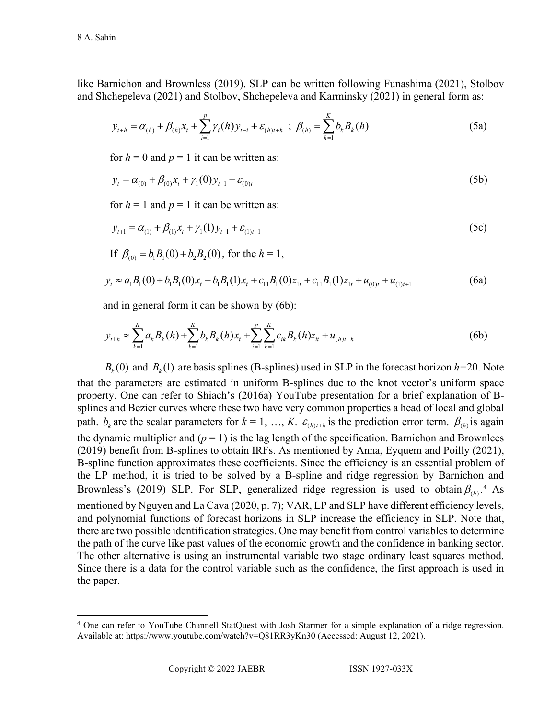like Barnichon and Brownless (2019). SLP can be written following Funashima (2021), Stolbov and Shchepeleva (2021) and Stolbov, Shchepeleva and Karminsky (2021) in general form as:

$$
y_{t+h} = \alpha_{(h)} + \beta_{(h)} x_t + \sum_{i=1}^p \gamma_i(h) y_{t-i} + \varepsilon_{(h)t+h} \; ; \; \beta_{(h)} = \sum_{k=1}^K b_k B_k(h) \tag{5a}
$$

for  $h = 0$  and  $p = 1$  it can be written as:

$$
y_t = \alpha_{(0)} + \beta_{(0)}x_t + \gamma_1(0)y_{t-1} + \varepsilon_{(0)t}
$$
\n(5b)

for  $h = 1$  and  $p = 1$  it can be written as:

If  $B = h R(0) + h R(0)$ , for the  $h = 1$ 

$$
y_{t+1} = \alpha_{(1)} + \beta_{(1)}x_t + \gamma_1(1)y_{t-1} + \varepsilon_{(1)t+1}
$$
 (5c)

$$
\mu_{(0)} - o_1 \nu_1(\nu) + o_2 \nu_2(\nu), \text{ for the } n = 1,
$$
\n
$$
y_t \approx a_1 B_1(0) + b_1 B_1(0) x_t + b_1 B_1(1) x_t + c_{11} B_1(0) z_{1t} + c_{11} B_1(1) z_{1t} + u_{(0)t} + u_{(1)t+1}
$$
\n(6a)

and in general form it can be shown by 
$$
(6b)
$$
:

$$
y_{t+h} \approx \sum_{k=1}^{K} a_k B_k(h) + \sum_{k=1}^{K} b_k B_k(h) x_t + \sum_{i=1}^{p} \sum_{k=1}^{K} c_{ik} B_k(h) z_{it} + u_{(h)t+h}
$$
(6b)

 $B_k(0)$  and  $B_k(1)$  are basis splines (B-splines) used in SLP in the forecast horizon  $h=20$ . Note that the parameters are estimated in uniform B-splines due to the knot vector's uniform space property. One can refer to Shiach's (2016a) YouTube presentation for a brief explanation of Bsplines and Bezier curves where these two have very common properties a head of local and global path.  $b_k$  are the scalar parameters for  $k = 1, ..., K$ .  $\varepsilon_{(h)l+h}$  is the prediction error term.  $\beta_{(h)}$  is again the dynamic multiplier and  $(p = 1)$  is the lag length of the specification. Barnichon and Brownlees (2019) benefit from B-splines to obtain IRFs. As mentioned by Anna, Eyquem and Poilly (2021), B-spline function approximates these coefficients. Since the efficiency is an essential problem of the LP method, it is tried to be solved by a B-spline and ridge regression by Barnichon and Brownless's (2019) SLP. For SLP, generalized ridge regression is used to obtain  $\beta_{(h)}$ <sup>[4](#page-7-0)</sup> As mentioned by Nguyen and La Cava (2020, p. 7); VAR, LP and SLP have different efficiency levels, and polynomial functions of forecast horizons in SLP increase the efficiency in SLP. Note that, there are two possible identification strategies. One may benefit from control variables to determine the path of the curve like past values of the economic growth and the confidence in banking sector. The other alternative is using an instrumental variable two stage ordinary least squares method. Since there is a data for the control variable such as the confidence, the first approach is used in the paper.

<span id="page-7-0"></span><sup>4</sup> One can refer to YouTube Channell StatQuest with Josh Starmer for a simple explanation of a ridge regression. Available at:<https://www.youtube.com/watch?v=Q81RR3yKn30> (Accessed: August 12, 2021).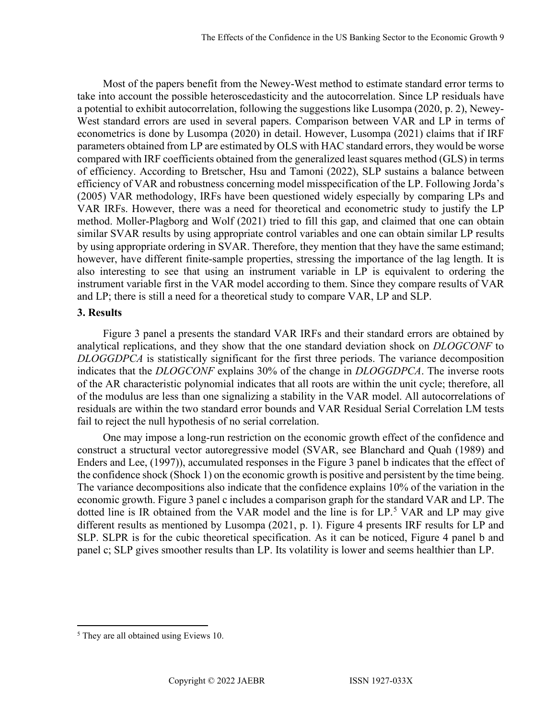Most of the papers benefit from the Newey-West method to estimate standard error terms to take into account the possible heteroscedasticity and the autocorrelation. Since LP residuals have a potential to exhibit autocorrelation, following the suggestions like Lusompa (2020, p. 2), Newey-West standard errors are used in several papers. Comparison between VAR and LP in terms of econometrics is done by Lusompa (2020) in detail. However, Lusompa (2021) claims that if IRF parameters obtained from LP are estimated by OLS with HAC standard errors, they would be worse compared with IRF coefficients obtained from the generalized least squares method (GLS) in terms of efficiency. According to Bretscher, Hsu and Tamoni (2022), SLP sustains a balance between efficiency of VAR and robustness concerning model misspecification of the LP. Following Jorda's (2005) VAR methodology, IRFs have been questioned widely especially by comparing LPs and VAR IRFs. However, there was a need for theoretical and econometric study to justify the LP method. Moller-Plagborg and Wolf (2021) tried to fill this gap, and claimed that one can obtain similar SVAR results by using appropriate control variables and one can obtain similar LP results by using appropriate ordering in SVAR. Therefore, they mention that they have the same estimand; however, have different finite-sample properties, stressing the importance of the lag length. It is also interesting to see that using an instrument variable in LP is equivalent to ordering the instrument variable first in the VAR model according to them. Since they compare results of VAR and LP; there is still a need for a theoretical study to compare VAR, LP and SLP.

### **3. Results**

Figure 3 panel a presents the standard VAR IRFs and their standard errors are obtained by analytical replications, and they show that the one standard deviation shock on *DLOGCONF* to *DLOGGDPCA* is statistically significant for the first three periods. The variance decomposition indicates that the *DLOGCONF* explains 30% of the change in *DLOGGDPCA*. The inverse roots of the AR characteristic polynomial indicates that all roots are within the unit cycle; therefore, all of the modulus are less than one signalizing a stability in the VAR model. All autocorrelations of residuals are within the two standard error bounds and VAR Residual Serial Correlation LM tests fail to reject the null hypothesis of no serial correlation.

One may impose a long-run restriction on the economic growth effect of the confidence and construct a structural vector autoregressive model (SVAR, see Blanchard and Quah (1989) and Enders and Lee, (1997)), accumulated responses in the Figure 3 panel b indicates that the effect of the confidence shock (Shock 1) on the economic growth is positive and persistent by the time being. The variance decompositions also indicate that the confidence explains 10% of the variation in the economic growth. Figure 3 panel c includes a comparison graph for the standard VAR and LP. The dotted line is IR obtained from the VAR model and the line is for LP.<sup>[5](#page-8-0)</sup> VAR and LP may give different results as mentioned by Lusompa (2021, p. 1). Figure 4 presents IRF results for LP and SLP. SLPR is for the cubic theoretical specification. As it can be noticed, Figure 4 panel b and panel c; SLP gives smoother results than LP. Its volatility is lower and seems healthier than LP.

<span id="page-8-0"></span><sup>5</sup> They are all obtained using Eviews 10.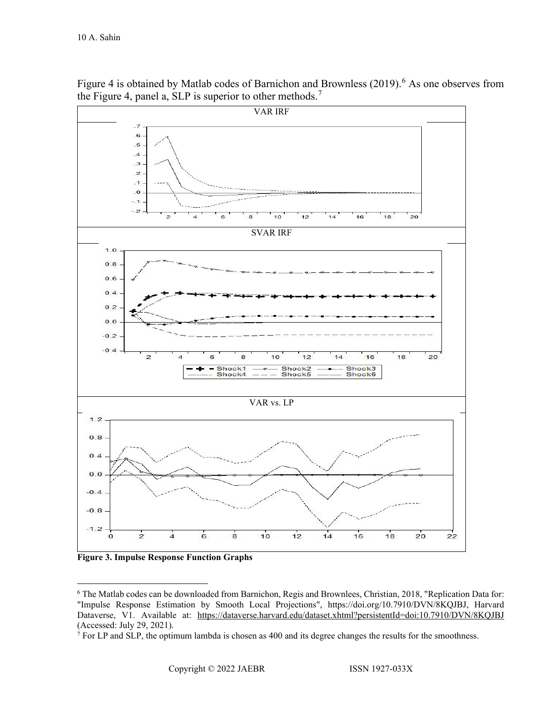

Figure 4 is obtained by Matlab codes of Barnichon and Brownless (2019).<sup>[6](#page-9-0)</sup> As one observes from the Figure 4, panel a, SLP is superior to other methods.<sup>[7](#page-9-1)</sup>

**Figure 3. Impulse Response Function Graphs**

<span id="page-9-0"></span><sup>6</sup> The Matlab codes can be downloaded from Barnichon, Regis and Brownlees, Christian, 2018, "Replication Data for: "Impulse Response Estimation by Smooth Local Projections", https://doi.org/10.7910/DVN/8KQJBJ, Harvard Dataverse, V1. Available at: <https://dataverse.harvard.edu/dataset.xhtml?persistentId=doi:10.7910/DVN/8KQJBJ> (Accessed: July 29, 2021).

<span id="page-9-1"></span> $7$  For LP and SLP, the optimum lambda is chosen as 400 and its degree changes the results for the smoothness.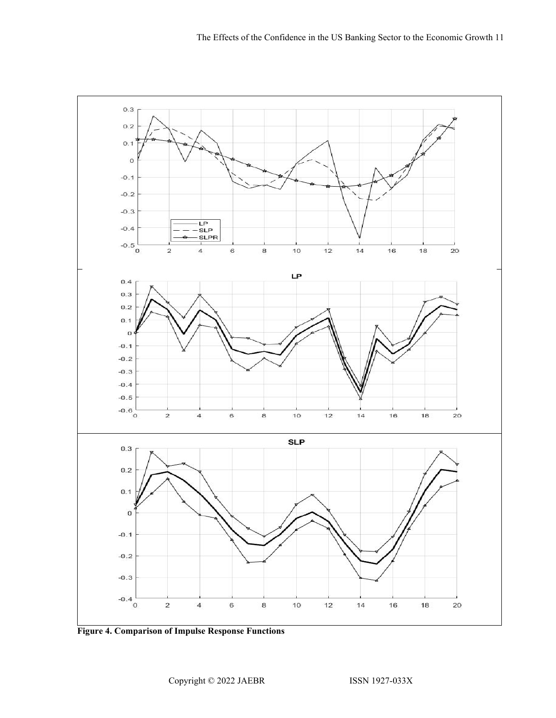

**Figure 4. Comparison of Impulse Response Functions**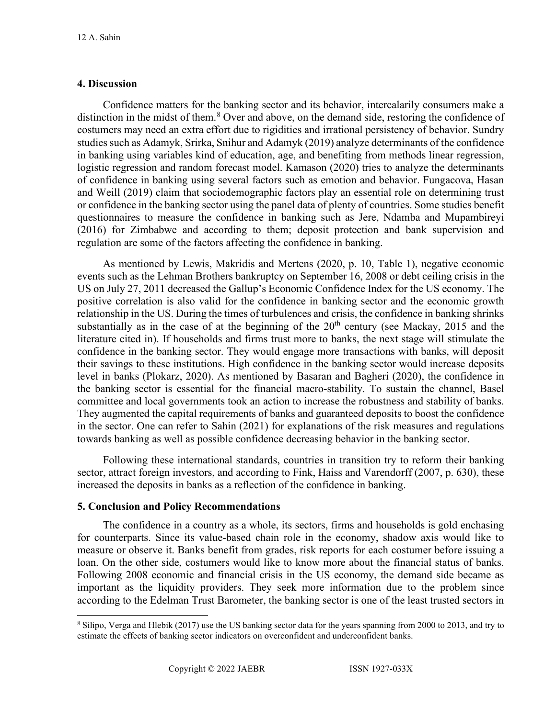# **4. Discussion**

Confidence matters for the banking sector and its behavior, intercalarily consumers make a distinction in the midst of them.<sup>[8](#page-11-0)</sup> Over and above, on the demand side, restoring the confidence of costumers may need an extra effort due to rigidities and irrational persistency of behavior. Sundry studies such as Adamyk, Srirka, Snihur and Adamyk (2019) analyze determinants of the confidence in banking using variables kind of education, age, and benefiting from methods linear regression, logistic regression and random forecast model. Kamason (2020) tries to analyze the determinants of confidence in banking using several factors such as emotion and behavior. Fungacova, Hasan and Weill (2019) claim that sociodemographic factors play an essential role on determining trust or confidence in the banking sector using the panel data of plenty of countries. Some studies benefit questionnaires to measure the confidence in banking such as Jere, Ndamba and Mupambireyi (2016) for Zimbabwe and according to them; deposit protection and bank supervision and regulation are some of the factors affecting the confidence in banking.

As mentioned by Lewis, Makridis and Mertens (2020, p. 10, Table 1), negative economic events such as the Lehman Brothers bankruptcy on September 16, 2008 or debt ceiling crisis in the US on July 27, 2011 decreased the Gallup's Economic Confidence Index for the US economy. The positive correlation is also valid for the confidence in banking sector and the economic growth relationship in the US. During the times of turbulences and crisis, the confidence in banking shrinks substantially as in the case of at the beginning of the  $20<sup>th</sup>$  century (see Mackay, 2015 and the literature cited in). If households and firms trust more to banks, the next stage will stimulate the confidence in the banking sector. They would engage more transactions with banks, will deposit their savings to these institutions. High confidence in the banking sector would increase deposits level in banks (Plokarz, 2020). As mentioned by Basaran and Bagheri (2020), the confidence in the banking sector is essential for the financial macro-stability. To sustain the channel, Basel committee and local governments took an action to increase the robustness and stability of banks. They augmented the capital requirements of banks and guaranteed deposits to boost the confidence in the sector. One can refer to Sahin (2021) for explanations of the risk measures and regulations towards banking as well as possible confidence decreasing behavior in the banking sector.

Following these international standards, countries in transition try to reform their banking sector, attract foreign investors, and according to Fink, Haiss and Varendorff (2007, p. 630), these increased the deposits in banks as a reflection of the confidence in banking.

### **5. Conclusion and Policy Recommendations**

The confidence in a country as a whole, its sectors, firms and households is gold enchasing for counterparts. Since its value-based chain role in the economy, shadow axis would like to measure or observe it. Banks benefit from grades, risk reports for each costumer before issuing a loan. On the other side, costumers would like to know more about the financial status of banks. Following 2008 economic and financial crisis in the US economy, the demand side became as important as the liquidity providers. They seek more information due to the problem since according to the Edelman Trust Barometer, the banking sector is one of the least trusted sectors in

<span id="page-11-0"></span><sup>8</sup> Silipo, Verga and Hlebik (2017) use the US banking sector data for the years spanning from 2000 to 2013, and try to estimate the effects of banking sector indicators on overconfident and underconfident banks.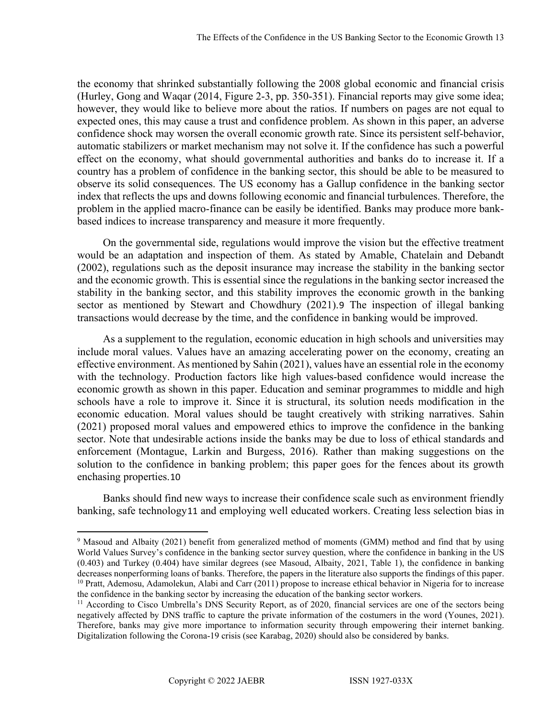the economy that shrinked substantially following the 2008 global economic and financial crisis (Hurley, Gong and Waqar (2014, Figure 2-3, pp. 350-351). Financial reports may give some idea; however, they would like to believe more about the ratios. If numbers on pages are not equal to expected ones, this may cause a trust and confidence problem. As shown in this paper, an adverse confidence shock may worsen the overall economic growth rate. Since its persistent self-behavior, automatic stabilizers or market mechanism may not solve it. If the confidence has such a powerful effect on the economy, what should governmental authorities and banks do to increase it. If a country has a problem of confidence in the banking sector, this should be able to be measured to observe its solid consequences. The US economy has a Gallup confidence in the banking sector index that reflects the ups and downs following economic and financial turbulences. Therefore, the problem in the applied macro-finance can be easily be identified. Banks may produce more bankbased indices to increase transparency and measure it more frequently.

On the governmental side, regulations would improve the vision but the effective treatment would be an adaptation and inspection of them. As stated by Amable, Chatelain and Debandt (2002), regulations such as the deposit insurance may increase the stability in the banking sector and the economic growth. This is essential since the regulations in the banking sector increased the stability in the banking sector, and this stability improves the economic growth in the banking sector as mentioned by Stewart and Chowdhury (2021).[9](#page-12-0) The inspection of illegal banking transactions would decrease by the time, and the confidence in banking would be improved.

As a supplement to the regulation, economic education in high schools and universities may include moral values. Values have an amazing accelerating power on the economy, creating an effective environment. As mentioned by Sahin (2021), values have an essential role in the economy with the technology. Production factors like high values-based confidence would increase the economic growth as shown in this paper. Education and seminar programmes to middle and high schools have a role to improve it. Since it is structural, its solution needs modification in the economic education. Moral values should be taught creatively with striking narratives. Sahin (2021) proposed moral values and empowered ethics to improve the confidence in the banking sector. Note that undesirable actions inside the banks may be due to loss of ethical standards and enforcement (Montague, Larkin and Burgess, 2016). Rather than making suggestions on the solution to the confidence in banking problem; this paper goes for the fences about its growth enchasing properties.[10](#page-12-1)

Banks should find new ways to increase their confidence scale such as environment friendly banking, safe technology[11](#page-12-2) and employing well educated workers. Creating less selection bias in

<span id="page-12-0"></span><sup>&</sup>lt;sup>9</sup> Masoud and Albaity (2021) benefit from generalized method of moments (GMM) method and find that by using World Values Survey's confidence in the banking sector survey question, where the confidence in banking in the US (0.403) and Turkey (0.404) have similar degrees (see Masoud, Albaity, 2021, Table 1), the confidence in banking decreases nonperforming loans of banks. Therefore, the papers in the literature also supports the findings of this paper. <sup>10</sup> Pratt, Ademosu, Adamolekun, Alabi and Carr (2011) propose to increase ethical behavior in Nigeria for to increase the confidence in the banking sector by increasing the education of the banking sector workers.

<span id="page-12-2"></span><span id="page-12-1"></span><sup>&</sup>lt;sup>11</sup> According to Cisco Umbrella's DNS Security Report, as of 2020, financial services are one of the sectors being negatively affected by DNS traffic to capture the private information of the costumers in the word (Younes, 2021). Therefore, banks may give more importance to information security through empowering their internet banking.

Digitalization following the Corona-19 crisis (see Karabag, 2020) should also be considered by banks.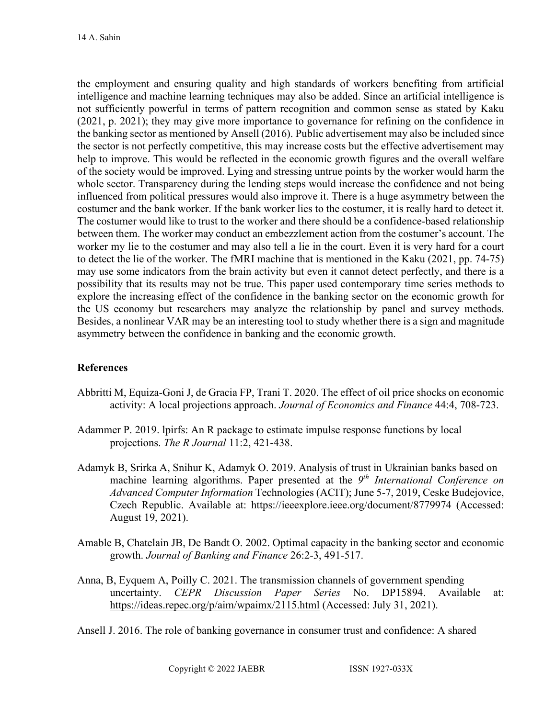the employment and ensuring quality and high standards of workers benefiting from artificial intelligence and machine learning techniques may also be added. Since an artificial intelligence is not sufficiently powerful in terms of pattern recognition and common sense as stated by Kaku (2021, p. 2021); they may give more importance to governance for refining on the confidence in the banking sector as mentioned by Ansell (2016). Public advertisement may also be included since the sector is not perfectly competitive, this may increase costs but the effective advertisement may help to improve. This would be reflected in the economic growth figures and the overall welfare of the society would be improved. Lying and stressing untrue points by the worker would harm the whole sector. Transparency during the lending steps would increase the confidence and not being influenced from political pressures would also improve it. There is a huge asymmetry between the costumer and the bank worker. If the bank worker lies to the costumer, it is really hard to detect it. The costumer would like to trust to the worker and there should be a confidence-based relationship between them. The worker may conduct an embezzlement action from the costumer's account. The worker my lie to the costumer and may also tell a lie in the court. Even it is very hard for a court to detect the lie of the worker. The fMRI machine that is mentioned in the Kaku (2021, pp. 74-75) may use some indicators from the brain activity but even it cannot detect perfectly, and there is a possibility that its results may not be true. This paper used contemporary time series methods to explore the increasing effect of the confidence in the banking sector on the economic growth for the US economy but researchers may analyze the relationship by panel and survey methods. Besides, a nonlinear VAR may be an interesting tool to study whether there is a sign and magnitude asymmetry between the confidence in banking and the economic growth.

# **References**

- Abbritti M, Equiza-Goni J, de Gracia FP, Trani T. 2020. The effect of oil price shocks on economic activity: A local projections approach. *Journal of Economics and Finance* 44:4, 708-723.
- Adammer P. 2019. lpirfs: An R package to estimate impulse response functions by local projections. *The R Journal* 11:2, 421-438.
- Adamyk B, Srirka A, Snihur K, Adamyk O. 2019. Analysis of trust in Ukrainian banks based on machine learning algorithms. Paper presented at the *9th International Conference on Advanced Computer Information* Technologies (ACIT); June 5-7, 2019, Ceske Budejovice, Czech Republic. Available at: <https://ieeexplore.ieee.org/document/8779974> (Accessed: August 19, 2021).
- Amable B, Chatelain JB, De Bandt O. 2002. Optimal capacity in the banking sector and economic growth. *Journal of Banking and Finance* 26:2-3, 491-517.
- Anna, B, Eyquem A, Poilly C. 2021. The transmission channels of government spending uncertainty. *CEPR Discussion Paper Series* No. DP15894. Available at: <https://ideas.repec.org/p/aim/wpaimx/2115.html>(Accessed: July 31, 2021).

Ansell J. 2016. The role of banking governance in consumer trust and confidence: A shared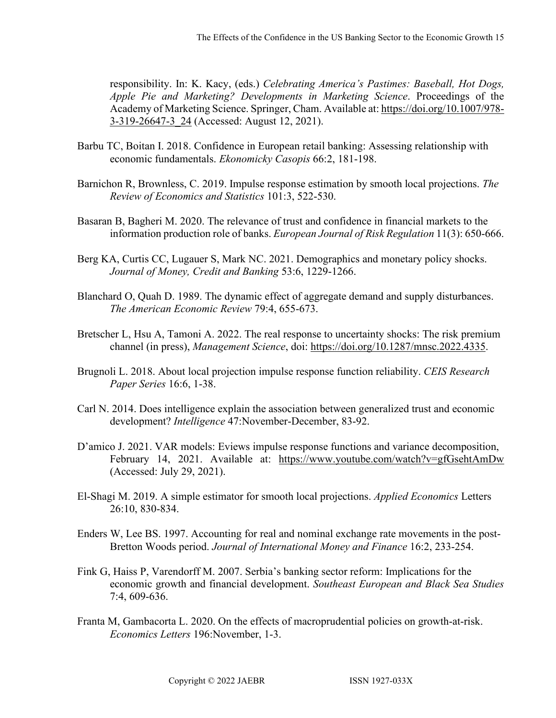responsibility. In: K. Kacy, (eds.) *Celebrating America's Pastimes: Baseball, Hot Dogs, Apple Pie and Marketing? Developments in Marketing Science*. Proceedings of the Academy of Marketing Science. Springer, Cham. Available at: [https://doi.org/10.1007/978-](https://doi.org/10.1007/978-3-319-26647-3_24) [3-319-26647-3\\_24](https://doi.org/10.1007/978-3-319-26647-3_24) (Accessed: August 12, 2021).

- Barbu TC, Boitan I. 2018. Confidence in European retail banking: Assessing relationship with economic fundamentals. *Ekonomicky Casopis* 66:2, 181-198.
- Barnichon R, Brownless, C. 2019. Impulse response estimation by smooth local projections. *The Review of Economics and Statistics* 101:3, 522-530.
- Basaran B, Bagheri M. 2020. The relevance of trust and confidence in financial markets to the information production role of banks. *European Journal of Risk Regulation* 11(3): 650-666.
- Berg KA, Curtis CC, Lugauer S, Mark NC. 2021. Demographics and monetary policy shocks. *Journal of Money, Credit and Banking* 53:6, 1229-1266.
- Blanchard O, Quah D. 1989. The dynamic effect of aggregate demand and supply disturbances. *The American Economic Review* 79:4, 655-673.
- Bretscher L, Hsu A, Tamoni A. 2022. The real response to uncertainty shocks: The risk premium channel (in press), *Management Science*, doi: [https://doi.org/10.1287/mnsc.2022.4335.](https://doi.org/10.1287/mnsc.2022.4335)
- Brugnoli L. 2018. About local projection impulse response function reliability. *CEIS Research Paper Series* 16:6, 1-38.
- Carl N. 2014. Does intelligence explain the association between generalized trust and economic development? *Intelligence* 47:November-December, 83-92.
- D'amico J. 2021. VAR models: Eviews impulse response functions and variance decomposition, February 14, 2021. Available at: <https://www.youtube.com/watch?v=gfGsehtAmDw> (Accessed: July 29, 2021).
- El-Shagi M. 2019. A simple estimator for smooth local projections. *Applied Economics* Letters 26:10, 830-834.
- Enders W, Lee BS. 1997. Accounting for real and nominal exchange rate movements in the post-Bretton Woods period. *Journal of International Money and Finance* 16:2, 233-254.
- Fink G, Haiss P, Varendorff M. 2007. Serbia's banking sector reform: Implications for the economic growth and financial development. *Southeast European and Black Sea Studies* 7:4, 609-636.
- Franta M, Gambacorta L. 2020. On the effects of macroprudential policies on growth-at-risk. *Economics Letters* 196:November, 1-3.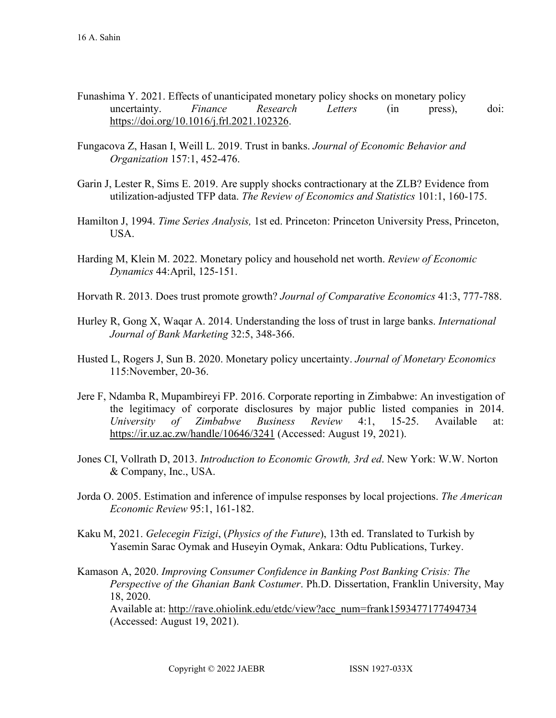- Funashima Y. 2021. Effects of unanticipated monetary policy shocks on monetary policy uncertainty. *Finance Research Letters* (in press), doi: [https://doi.org/10.1016/j.frl.2021.102326.](https://doi.org/10.1016/j.frl.2021.102326)
- Fungacova Z, Hasan I, Weill L. 2019. Trust in banks. *Journal of Economic Behavior and Organization* 157:1, 452-476.
- Garin J, Lester R, Sims E. 2019. Are supply shocks contractionary at the ZLB? Evidence from utilization-adjusted TFP data. *The Review of Economics and Statistics* 101:1, 160-175.
- Hamilton J, 1994. *Time Series Analysis,* 1st ed. Princeton: Princeton University Press, Princeton, USA.
- Harding M, Klein M. 2022. Monetary policy and household net worth. *Review of Economic Dynamics* 44:April, 125-151.
- Horvath R. 2013. Does trust promote growth? *Journal of Comparative Economics* 41:3, 777-788.
- Hurley R, Gong X, Waqar A. 2014. Understanding the loss of trust in large banks. *International Journal of Bank Marketing* 32:5, 348-366.
- Husted L, Rogers J, Sun B. 2020. Monetary policy uncertainty. *Journal of Monetary Economics*  115:November, 20-36.
- Jere F, Ndamba R, Mupambireyi FP. 2016. Corporate reporting in Zimbabwe: An investigation of the legitimacy of corporate disclosures by major public listed companies in 2014. *University of Zimbabwe Business Review* 4:1, 15-25. Available at: <https://ir.uz.ac.zw/handle/10646/3241>(Accessed: August 19, 2021).
- Jones CI, Vollrath D, 2013. *Introduction to Economic Growth, 3rd ed*. New York: W.W. Norton & Company, Inc., USA.
- Jorda O. 2005. Estimation and inference of impulse responses by local projections. *The American Economic Review* 95:1, 161-182.
- Kaku M, 2021. *Gelecegin Fizigi*, (*Physics of the Future*), 13th ed. Translated to Turkish by Yasemin Sarac Oymak and Huseyin Oymak, Ankara: Odtu Publications, Turkey.
- Kamason A, 2020. *Improving Consumer Confidence in Banking Post Banking Crisis: The Perspective of the Ghanian Bank Costumer*. Ph.D. Dissertation, Franklin University, May 18, 2020.

Available at: [http://rave.ohiolink.edu/etdc/view?acc\\_num=frank1593477177494734](http://rave.ohiolink.edu/etdc/view?acc_num=frank1593477177494734)  (Accessed: August 19, 2021).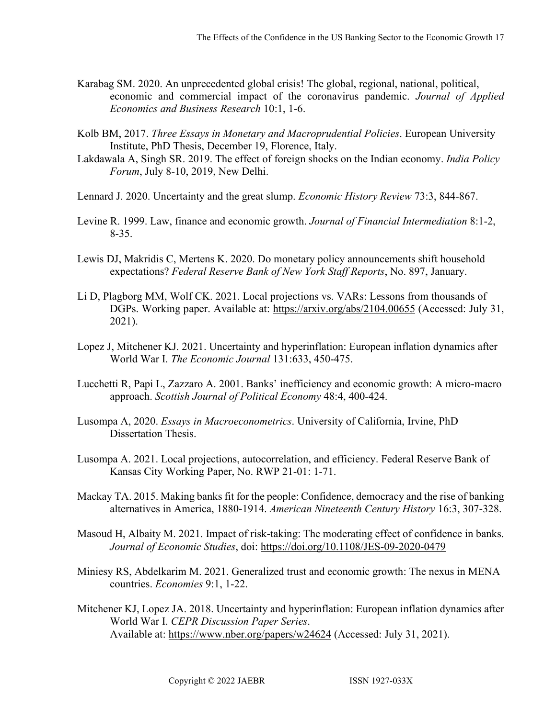- Karabag SM. 2020. An unprecedented global crisis! The global, regional, national, political, economic and commercial impact of the coronavirus pandemic. *Journal of Applied Economics and Business Research* 10:1, 1-6.
- Kolb BM, 2017. *Three Essays in Monetary and Macroprudential Policies*. European University Institute, PhD Thesis, December 19, Florence, Italy.
- Lakdawala A, Singh SR. 2019. The effect of foreign shocks on the Indian economy. *India Policy Forum*, July 8-10, 2019, New Delhi.
- Lennard J. 2020. Uncertainty and the great slump. *Economic History Review* 73:3, 844-867.
- Levine R. 1999. Law, finance and economic growth. *Journal of Financial Intermediation* 8:1-2, 8-35.
- Lewis DJ, Makridis C, Mertens K. 2020. Do monetary policy announcements shift household expectations? *Federal Reserve Bank of New York Staff Reports*, No. 897, January.
- Li D, Plagborg MM, Wolf CK. 2021. Local projections vs. VARs: Lessons from thousands of DGPs. Working paper. Available at:<https://arxiv.org/abs/2104.00655> (Accessed: July 31, 2021).
- Lopez J, Mitchener KJ. 2021. Uncertainty and hyperinflation: European inflation dynamics after World War I. *The Economic Journal* 131:633, 450-475.
- Lucchetti R, Papi L, Zazzaro A. 2001. Banks' inefficiency and economic growth: A micro-macro approach. *Scottish Journal of Political Economy* 48:4, 400-424.
- Lusompa A, 2020. *Essays in Macroeconometrics*. University of California, Irvine, PhD Dissertation Thesis.
- Lusompa A. 2021. Local projections, autocorrelation, and efficiency. Federal Reserve Bank of Kansas City Working Paper, No. RWP 21-01: 1-71.
- Mackay TA. 2015. Making banks fit for the people: Confidence, democracy and the rise of banking alternatives in America, 1880-1914. *American Nineteenth Century History* 16:3, 307-328.
- Masoud H, Albaity M. 2021. Impact of risk-taking: The moderating effect of confidence in banks. *Journal of Economic Studies*, doi:<https://doi.org/10.1108/JES-09-2020-0479>
- Miniesy RS, Abdelkarim M. 2021. Generalized trust and economic growth: The nexus in MENA countries. *Economies* 9:1, 1-22.
- Mitchener KJ, Lopez JA. 2018. Uncertainty and hyperinflation: European inflation dynamics after World War I. *CEPR Discussion Paper Series*. Available at:<https://www.nber.org/papers/w24624>(Accessed: July 31, 2021).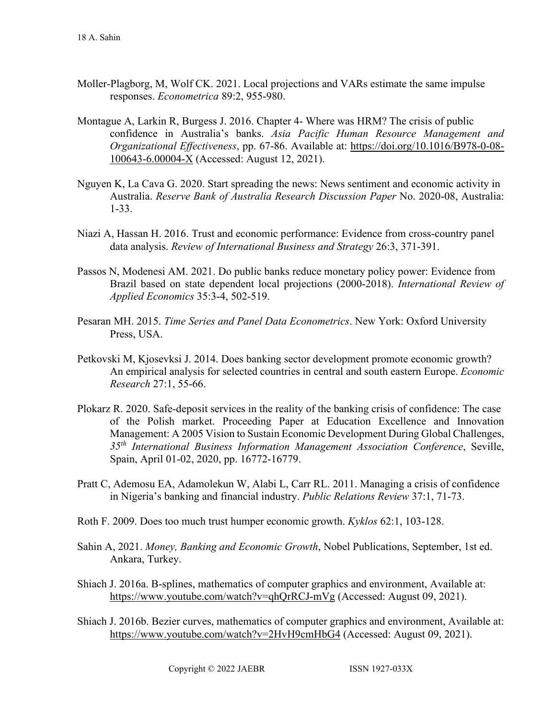- Moller-Plagborg, M, Wolf CK. 2021. Local projections and VARs estimate the same impulse responses. *Econometrica* 89:2, 955-980.
- Montague A, Larkin R, Burgess J. 2016. Chapter 4- Where was HRM? The crisis of public confidence in Australia's banks. *Asia Pacific Human Resource Management and Organizational Effectiveness*, pp. 67-86. Available at: [https://doi.org/10.1016/B978-0-08-](https://doi.org/10.1016/B978-0-08-100643-6.00004-X) [100643-6.00004-X](https://doi.org/10.1016/B978-0-08-100643-6.00004-X) (Accessed: August 12, 2021).
- Nguyen K, La Cava G. 2020. Start spreading the news: News sentiment and economic activity in Australia. *Reserve Bank of Australia Research Discussion Paper* No. 2020-08, Australia: 1-33.
- Niazi A, Hassan H. 2016. Trust and economic performance: Evidence from cross-country panel data analysis. *Review of International Business and Strategy* 26:3, 371-391.
- Passos N, Modenesi AM. 2021. Do public banks reduce monetary policy power: Evidence from Brazil based on state dependent local projections (2000-2018). *International Review of Applied Economics* 35:3-4, 502-519.
- Pesaran MH. 2015. *Time Series and Panel Data Econometrics*. New York: Oxford University Press, USA.
- Petkovski M, Kjosevksi J. 2014. Does banking sector development promote economic growth? An empirical analysis for selected countries in central and south eastern Europe. *Economic Research* 27:1, 55-66.
- Plokarz R. 2020. Safe-deposit services in the reality of the banking crisis of confidence: The case of the Polish market. Proceeding Paper at Education Excellence and Innovation Management: A 2005 Vision to Sustain Economic Development During Global Challenges, *35th International Business Information Management Association Conference*, Seville, Spain, April 01-02, 2020, pp. 16772-16779.
- Pratt C, Ademosu EA, Adamolekun W, Alabi L, Carr RL. 2011. Managing a crisis of confidence in Nigeria's banking and financial industry. *Public Relations Review* 37:1, 71-73.
- Roth F. 2009. Does too much trust humper economic growth. *Kyklos* 62:1, 103-128.
- Sahin A, 2021. *Money, Banking and Economic Growth*, Nobel Publications, September, 1st ed. Ankara, Turkey.
- Shiach J. 2016a. B-splines, mathematics of computer graphics and environment, Available at: <https://www.youtube.com/watch?v=qhQrRCJ-mVg>(Accessed: August 09, 2021).
- Shiach J. 2016b. Bezier curves, mathematics of computer graphics and environment, Available at: <https://www.youtube.com/watch?v=2HvH9cmHbG4>(Accessed: August 09, 2021).